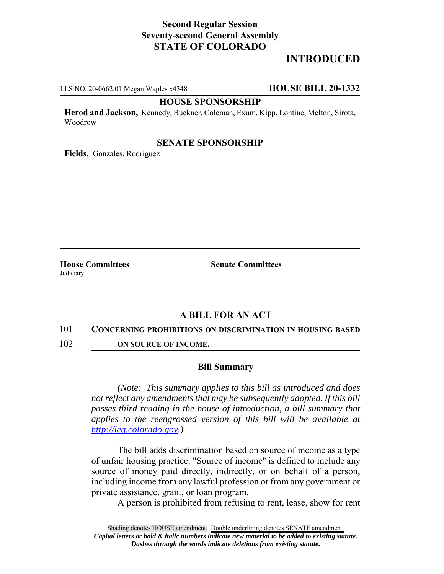## **Second Regular Session Seventy-second General Assembly STATE OF COLORADO**

# **INTRODUCED**

LLS NO. 20-0662.01 Megan Waples x4348 **HOUSE BILL 20-1332**

#### **HOUSE SPONSORSHIP**

**Herod and Jackson,** Kennedy, Buckner, Coleman, Exum, Kipp, Lontine, Melton, Sirota, Woodrow

### **SENATE SPONSORSHIP**

**Fields,** Gonzales, Rodriguez

Judiciary

**House Committees Senate Committees** 

## **A BILL FOR AN ACT**

#### 101 **CONCERNING PROHIBITIONS ON DISCRIMINATION IN HOUSING BASED**

102 **ON SOURCE OF INCOME.**

#### **Bill Summary**

*(Note: This summary applies to this bill as introduced and does not reflect any amendments that may be subsequently adopted. If this bill passes third reading in the house of introduction, a bill summary that applies to the reengrossed version of this bill will be available at http://leg.colorado.gov.)*

The bill adds discrimination based on source of income as a type of unfair housing practice. "Source of income" is defined to include any source of money paid directly, indirectly, or on behalf of a person, including income from any lawful profession or from any government or private assistance, grant, or loan program.

A person is prohibited from refusing to rent, lease, show for rent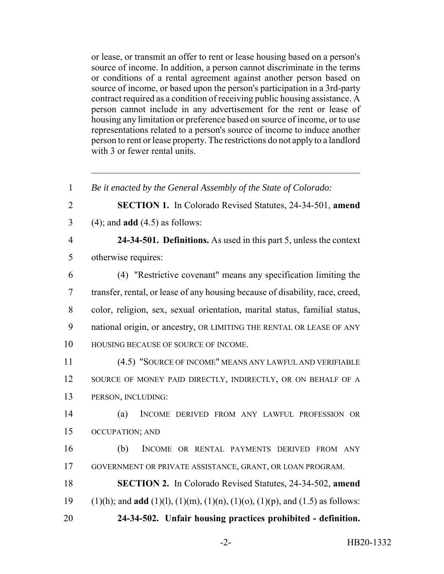or lease, or transmit an offer to rent or lease housing based on a person's source of income. In addition, a person cannot discriminate in the terms or conditions of a rental agreement against another person based on source of income, or based upon the person's participation in a 3rd-party contract required as a condition of receiving public housing assistance. A person cannot include in any advertisement for the rent or lease of housing any limitation or preference based on source of income, or to use representations related to a person's source of income to induce another person to rent or lease property. The restrictions do not apply to a landlord with 3 or fewer rental units.

 *Be it enacted by the General Assembly of the State of Colorado:* **SECTION 1.** In Colorado Revised Statutes, 24-34-501, **amend** (4); and **add** (4.5) as follows: **24-34-501. Definitions.** As used in this part 5, unless the context otherwise requires: (4) "Restrictive covenant" means any specification limiting the transfer, rental, or lease of any housing because of disability, race, creed, color, religion, sex, sexual orientation, marital status, familial status, national origin, or ancestry, OR LIMITING THE RENTAL OR LEASE OF ANY HOUSING BECAUSE OF SOURCE OF INCOME. (4.5) "SOURCE OF INCOME" MEANS ANY LAWFUL AND VERIFIABLE 12 SOURCE OF MONEY PAID DIRECTLY, INDIRECTLY, OR ON BEHALF OF A PERSON, INCLUDING: (a) INCOME DERIVED FROM ANY LAWFUL PROFESSION OR OCCUPATION; AND (b) INCOME OR RENTAL PAYMENTS DERIVED FROM ANY GOVERNMENT OR PRIVATE ASSISTANCE, GRANT, OR LOAN PROGRAM. **SECTION 2.** In Colorado Revised Statutes, 24-34-502, **amend** (1)(h); and **add** (1)(l), (1)(m), (1)(n), (1)(o), (1)(p), and (1.5) as follows: **24-34-502. Unfair housing practices prohibited - definition.**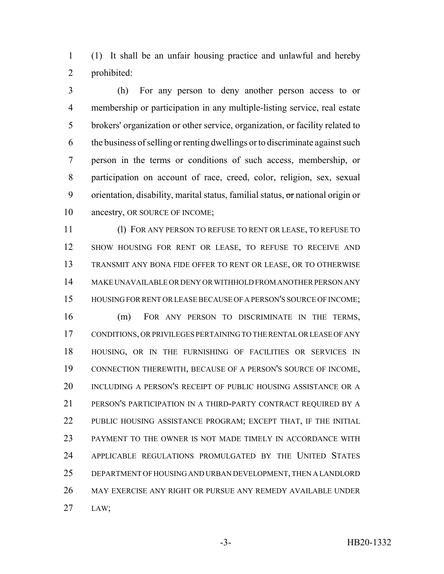(1) It shall be an unfair housing practice and unlawful and hereby prohibited:

 (h) For any person to deny another person access to or membership or participation in any multiple-listing service, real estate brokers' organization or other service, organization, or facility related to the business of selling or renting dwellings or to discriminate against such person in the terms or conditions of such access, membership, or participation on account of race, creed, color, religion, sex, sexual 9 orientation, disability, marital status, familial status, or national origin or 10 ancestry, OR SOURCE OF INCOME;

 (l) FOR ANY PERSON TO REFUSE TO RENT OR LEASE, TO REFUSE TO SHOW HOUSING FOR RENT OR LEASE, TO REFUSE TO RECEIVE AND TRANSMIT ANY BONA FIDE OFFER TO RENT OR LEASE, OR TO OTHERWISE MAKE UNAVAILABLE OR DENY OR WITHHOLD FROM ANOTHER PERSON ANY HOUSING FOR RENT OR LEASE BECAUSE OF A PERSON'S SOURCE OF INCOME;

 (m) FOR ANY PERSON TO DISCRIMINATE IN THE TERMS, CONDITIONS, OR PRIVILEGES PERTAINING TO THE RENTAL OR LEASE OF ANY HOUSING, OR IN THE FURNISHING OF FACILITIES OR SERVICES IN CONNECTION THEREWITH, BECAUSE OF A PERSON'S SOURCE OF INCOME, INCLUDING A PERSON'S RECEIPT OF PUBLIC HOUSING ASSISTANCE OR A PERSON'S PARTICIPATION IN A THIRD-PARTY CONTRACT REQUIRED BY A PUBLIC HOUSING ASSISTANCE PROGRAM; EXCEPT THAT, IF THE INITIAL PAYMENT TO THE OWNER IS NOT MADE TIMELY IN ACCORDANCE WITH APPLICABLE REGULATIONS PROMULGATED BY THE UNITED STATES DEPARTMENT OF HOUSING AND URBAN DEVELOPMENT, THEN A LANDLORD MAY EXERCISE ANY RIGHT OR PURSUE ANY REMEDY AVAILABLE UNDER LAW;